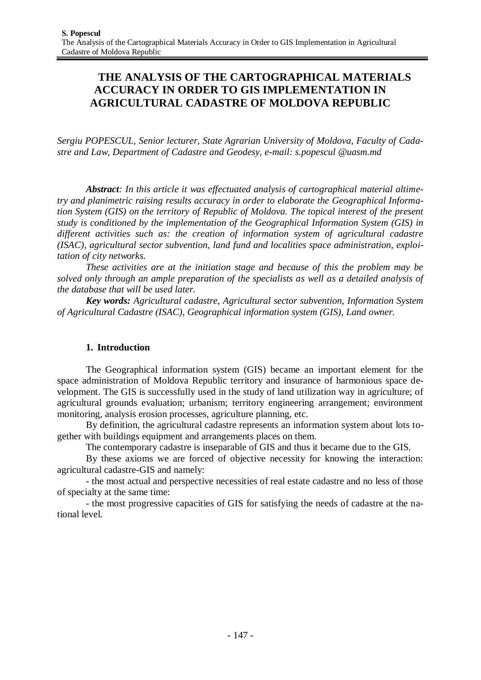# **THE ANALYSIS OF THE CARTOGRAPHICAL MATERIALS ACCURACY IN ORDER TO GIS IMPLEMENTATION IN AGRICULTURAL CADASTRE OF MOLDOVA REPUBLIC**

*Sergiu POPESCUL, Senior lecturer, State Agrarian University of Moldova, Faculty of Cadastre and Law, Department of Cadastre and Geodesy, e-mail: s.popescul @uasm.md*

*Abstract: In this article it was effectuated analysis of cartographical material altimetry and planimetric raising results accuracy in order to elaborate the Geographical Information System (GIS) on the territory of Republic of Moldova. The topical interest of the present study is conditioned by the implementation of the Geographical Information System (GIS) in different activities such as: the creation of information system of agricultural cadastre (ISAC), agricultural sector subvention, land fund and localities space administration, exploitation of city networks.*

*These activities are at the initiation stage and because of this the problem may be solved only through an ample preparation of the specialists as well as a detailed analysis of the database that will be used later.*

*Key words: Agricultural cadastre, Agricultural sector subvention, Information System of Agricultural Cadastre (ISAC), Geographical information system (GIS), Land owner.*

#### **1. Introduction**

The Geographical information system (GIS) became an important element for the space administration of Moldova Republic territory and insurance of harmonious space development. The GIS is successfully used in the study of land utilization way in agriculture; of agricultural grounds evaluation; urbanism; territory engineering arrangement; environment monitoring, analysis erosion processes, agriculture planning, etc.

By definition, the agricultural cadastre represents an information system about lots together with buildings equipment and arrangements places on them.

The contemporary cadastre is inseparable of GIS and thus it became due to the GIS.

By these axioms we are forced of objective necessity for knowing the interaction: agricultural cadastre-GIS and namely:

- the most actual and perspective necessities of real estate cadastre and no less of those of specialty at the same time:

- the most progressive capacities of GIS for satisfying the needs of cadastre at the national level.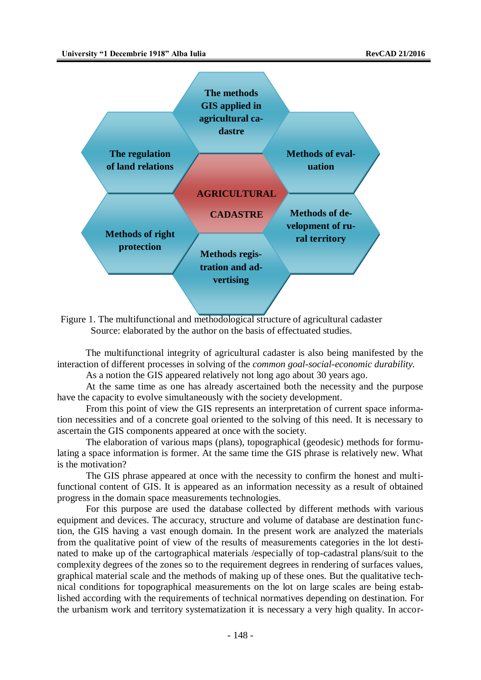

Figure 1. The multifunctional and methodological structure of agricultural cadaster Source: elaborated by the author on the basis of effectuated studies.

The multifunctional integrity of agricultural cadaster is also being manifested by the interaction of different processes in solving of the *common goal-social-economic durability.*

As a notion the GIS appeared relatively not long ago about 30 years ago.

At the same time as one has already ascertained both the necessity and the purpose have the capacity to evolve simultaneously with the society development.

From this point of view the GIS represents an interpretation of current space information necessities and of a concrete goal oriented to the solving of this need. It is necessary to ascertain the GIS components appeared at once with the society.

The elaboration of various maps (plans), topographical (geodesic) methods for formulating a space information is former. At the same time the GIS phrase is relatively new. What is the motivation?

The GIS phrase appeared at once with the necessity to confirm the honest and multifunctional content of GIS. It is appeared as an information necessity as a result of obtained progress in the domain space measurements technologies.

For this purpose are used the database collected by different methods with various equipment and devices. The accuracy, structure and volume of database are destination function, the GIS having a vast enough domain. In the present work are analyzed the materials from the qualitative point of view of the results of measurements categories in the lot destinated to make up of the cartographical materials /especially of top-cadastral plans/suit to the complexity degrees of the zones so to the requirement degrees in rendering of surfaces values, graphical material scale and the methods of making up of these ones. But the qualitative technical conditions for topographical measurements on the lot on large scales are being established according with the requirements of technical normatives depending on destination. For the urbanism work and territory systematization it is necessary a very high quality. In accor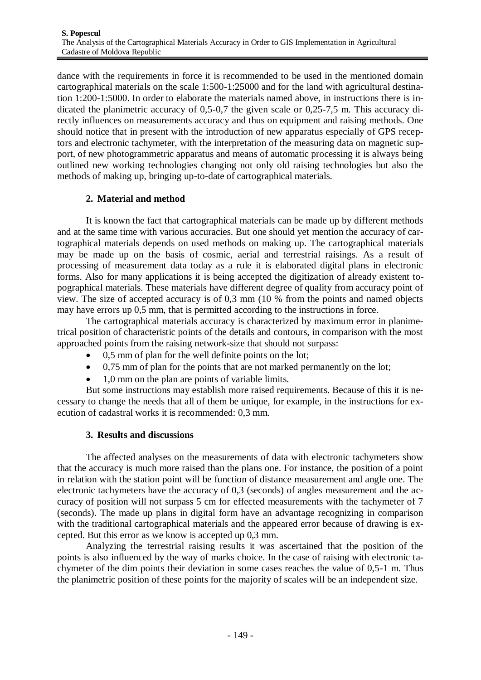dance with the requirements in force it is recommended to be used in the mentioned domain cartographical materials on the scale 1:500-1:25000 and for the land with agricultural destination 1:200-1:5000. In order to elaborate the materials named above, in instructions there is indicated the planimetric accuracy of 0,5-0,7 the given scale or 0,25-7,5 m. This accuracy directly influences on measurements accuracy and thus on equipment and raising methods. One should notice that in present with the introduction of new apparatus especially of GPS receptors and electronic tachymeter, with the interpretation of the measuring data on magnetic support, of new photogrammetric apparatus and means of automatic processing it is always being outlined new working technologies changing not only old raising technologies but also the methods of making up, bringing up-to-date of cartographical materials.

## **2. Material and method**

It is known the fact that cartographical materials can be made up by different methods and at the same time with various accuracies. But one should yet mention the accuracy of cartographical materials depends on used methods on making up. The cartographical materials may be made up on the basis of cosmic, aerial and terrestrial raisings. As a result of processing of measurement data today as a rule it is elaborated digital plans in electronic forms. Also for many applications it is being accepted the digitization of already existent topographical materials. These materials have different degree of quality from accuracy point of view. The size of accepted accuracy is of 0,3 mm (10 % from the points and named objects may have errors up 0,5 mm, that is permitted according to the instructions in force.

The cartographical materials accuracy is characterized by maximum error in planimetrical position of characteristic points of the details and contours, in comparison with the most approached points from the raising network-size that should not surpass:

- 0,5 mm of plan for the well definite points on the lot;
- 0,75 mm of plan for the points that are not marked permanently on the lot;
- 1,0 mm on the plan are points of variable limits.

But some instructions may establish more raised requirements. Because of this it is necessary to change the needs that all of them be unique, for example, in the instructions for execution of cadastral works it is recommended: 0,3 mm.

#### **3. Results and discussions**

The affected analyses on the measurements of data with electronic tachymeters show that the accuracy is much more raised than the plans one. For instance, the position of a point in relation with the station point will be function of distance measurement and angle one. The electronic tachymeters have the accuracy of 0,3 (seconds) of angles measurement and the accuracy of position will not surpass 5 cm for effected measurements with the tachymeter of 7 (seconds). The made up plans in digital form have an advantage recognizing in comparison with the traditional cartographical materials and the appeared error because of drawing is excepted. But this error as we know is accepted up 0,3 mm.

Analyzing the terrestrial raising results it was ascertained that the position of the points is also influenced by the way of marks choice. In the case of raising with electronic tachymeter of the dim points their deviation in some cases reaches the value of 0,5-1 m. Thus the planimetric position of these points for the majority of scales will be an independent size.